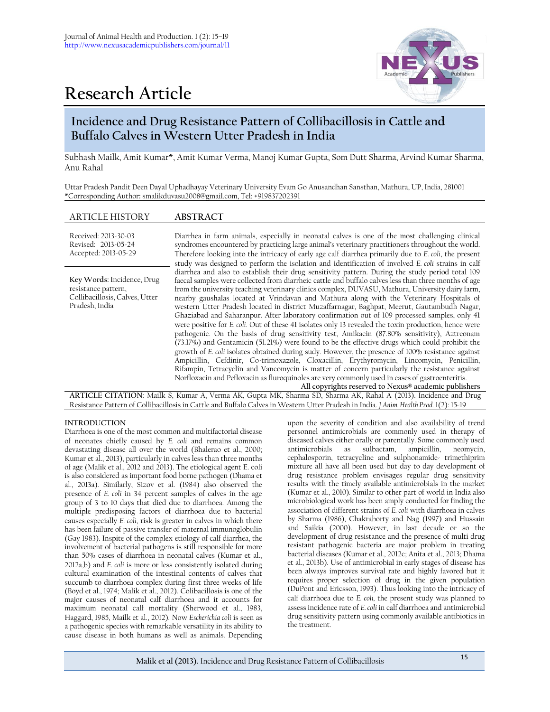



# **Incidence and Drug Resistance Pattern of Collibacillosis in Cattle and Buffalo Calves in Western Utter Pradesh in India**

Subhash Mailk, Amit Kumar\*, Amit Kumar Verma, Manoj Kumar Gupta, Som Dutt Sharma, Arvind Kumar Sharma, Anu Rahal

Uttar Pradesh Pandit Deen Dayal Uphadhayay Veterinary University Evam Go Anusandhan Sansthan, Mathura, UP, India, 281001 \*Corresponding Author**:** smalikduvasu2008@gmail.com, Tel: +919837202391

# ARTICLE HISTORY **ABSTRACT**

| Received: 2013-30-03<br>Revised: 2013-05-24<br>Accepted: 2013-05-29                                   | Diarrhea in farm animals, especially in neonatal calves is one of the most challenging clinical<br>syndromes encountered by practicing large animal's veterinary practitioners throughout the world.<br>Therefore looking into the intricacy of early age calf diarrhea primarily due to E. coli, the present<br>study was designed to perform the isolation and identification of involved E. coli strains in calf                                                                                                                                                                                                                                                                                                                                                                                                                                                                                                                                                                                                                                                                                                                                                                                                                                                                                                                                                               |
|-------------------------------------------------------------------------------------------------------|-----------------------------------------------------------------------------------------------------------------------------------------------------------------------------------------------------------------------------------------------------------------------------------------------------------------------------------------------------------------------------------------------------------------------------------------------------------------------------------------------------------------------------------------------------------------------------------------------------------------------------------------------------------------------------------------------------------------------------------------------------------------------------------------------------------------------------------------------------------------------------------------------------------------------------------------------------------------------------------------------------------------------------------------------------------------------------------------------------------------------------------------------------------------------------------------------------------------------------------------------------------------------------------------------------------------------------------------------------------------------------------|
| Key Words: Incidence, Drug<br>resistance pattern,<br>Collibacillosis, Calves, Utter<br>Pradesh, India | diarrhea and also to establish their drug sensitivity pattern. During the study period total 109<br>faecal samples were collected from diarrheic cattle and buffalo calves less than three months of age<br>from the university teaching veterinary clinics complex, DUVASU, Mathura, University dairy farm,<br>nearby gaushalas located at Vrindavan and Mathura along with the Veterinary Hospitals of<br>western Utter Pradesh located in district Muzaffarnagar, Baghpat, Meerut, Gautambudh Nagar,<br>Ghaziabad and Saharanpur. After laboratory confirmation out of 109 processed samples, only 41<br>were positive for E. coli. Out of these 41 isolates only 13 revealed the toxin production, hence were<br>pathogenic. On the basis of drug sensitivity test, Amikacin (87.80% sensitivity), Aztreonam<br>(73.17%) and Gentamicin (51.21%) were found to be the effective drugs which could prohibit the<br>growth of E. coli isolates obtained during sudy. However, the presence of 100% resistance against<br>Ampicillin, Cefdinir, Co-trimoxazole, Cloxacillin, Erythyromycin, Lincomycin, Penicillin,<br>Rifampin, Tetracyclin and Vancomycin is matter of concern particularly the resistance against<br>Norfloxacin and Pefloxacin as fluroquinoles are very commonly used in cases of gastroenteritis.<br>All copyrights reserved to Nexus® academic publishers |
|                                                                                                       | APTICLE CITATION: Mailly S. Kumar A. Vorma AK Gunta MK Sharma SD Sharma AK Rabel A (2012) Incidence and Drug                                                                                                                                                                                                                                                                                                                                                                                                                                                                                                                                                                                                                                                                                                                                                                                                                                                                                                                                                                                                                                                                                                                                                                                                                                                                      |

**ARTICLE CITATION**: Mailk S, Kumar A, Verma AK, Gupta MK, Sharma SD, Sharma AK, Rahal A (2013). Incidence and Drug Resistance Pattern of Collibacillosis in Cattle and Buffalo Calves in Western Utter Pradesh in India. *J Anim. Health Prod.* 1(2): 15-19

# **INTRODUCTION**

Diarrhoea is one of the most common and multifactorial disease of neonates chiefly caused by *E. coli* and remains common devastating disease all over the world (Bhalerao et al., 2000; Kumar et al., 2013), particularly in calves less than three months of age (Malik et al., 2012 and 2013). The etiological agent E. coli is also considered as important food borne pathogen (Dhama et al., 2013a). Similarly, Sizov et al. (1984) also observed the presence of *E. coli* in 34 percent samples of calves in the age group of 3 to 10 days that died due to diarrhoea. Among the multiple predisposing factors of diarrhoea due to bacterial causes especially *E. coli*, risk is greater in calves in which there has been failure of passive transfer of maternal immunoglobulin (Gay 1983). Inspite of the complex etiology of calf diarrhea, the involvement of bacterial pathogens is still responsible for more than 50% cases of diarrhoea in neonatal calves (Kumar et al., 2012a,b) and *E. coli* is more or less consistently isolated during cultural examination of the intestinal contents of calves that succumb to diarrhoea complex during first three weeks of life (Boyd et al., 1974; Malik et al., 2012). Colibacillosis is one of the major causes of neonatal calf diarrhoea and it accounts for maximum neonatal calf mortality (Sherwood et al., 1983, Haggard, 1985, Mailk et al., 2012). Now *Escherichia coli* is seen as a pathogenic species with remarkable versatility in its ability to cause disease in both humans as well as animals. Depending

upon the severity of condition and also availability of trend personnel antimicrobials are commonly used in therapy of diseased calves either orally or parentally. Some commonly used antimicrobials as sulbactam, ampicillin, neomycin, cephalosporin, tetracycline and sulphonamide- trimethiprim mixture all have all been used but day to day development of drug resistance problem envisages regular drug sensitivity results with the timely available antimicrobials in the market (Kumar et al., 2010). Similar to other part of world in India also microbiological work has been amply conducted for finding the association of different strains of *E. coli* with diarrhoea in calves by Sharma (1986), Chakraborty and Nag (1997) and Hussain and Saikia (2000). However, in last decade or so the development of drug resistance and the presence of multi drug resistant pathogenic bacteria are major problem in treating bacterial diseases (Kumar et al., 2012c; Anita et al., 2013; Dhama et al., 2013b). Use of antimicrobial in early stages of disease has been always improves survival rate and highly favored but it requires proper selection of drug in the given population (DuPont and Ericsson, 1993). Thus looking into the intricacy of calf diarrhoea due to *E. coli,* the present study was planned to assess incidence rate of *E.coli* in calf diarrhoea and antimicrobial drug sensitivity pattern using commonly available antibiotics in the treatment.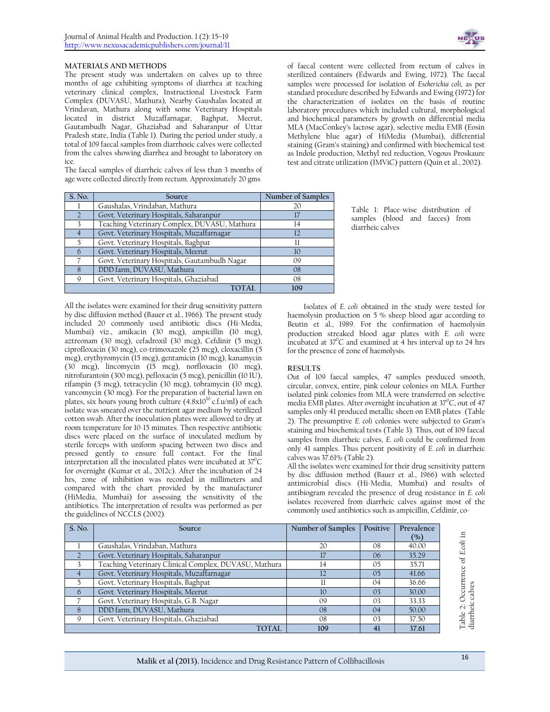

### **MATERIALS AND METHODS**

The present study was undertaken on calves up to three months of age exhibiting symptoms of diarrhea at teaching veterinary clinical complex, Instructional Livestock Farm Complex (DUVASU, Mathura), Nearby Gaushalas located at Vrindavan, Mathura along with some Veterinary Hospitals located in district Muzaffarnagar, Baghpat, Meerut, Gautambudh Nagar, Ghaziabad and Saharanpur of Uttar Pradesh state, India (Table 1). During the period under study, a total of 109 faecal samples from diarrhoeic calves were collected from the calves showing diarrhea and brought to laboratory on ice.

The faecal samples of diarrheic calves of less than 3 months of age were collected directly from rectum. Approximately 20 gms

| S. No. | Source                                       | Number of Samples |
|--------|----------------------------------------------|-------------------|
|        | Gaushalas, Vrindaban, Mathura                | 20                |
|        | Govt. Veterinary Hospitals, Saharanpur       | 17                |
|        | Teaching Veterinary Complex, DUVASU, Mathura | 14                |
|        | Govt. Veterinary Hospitals, Muzaffarnagar    | 12                |
| 5.     | Govt. Veterinary Hospitals, Baghpat          | 11                |
| 6      | Govt. Veterinary Hospitals, Meerut           | 10                |
|        | Govt. Veterinary Hospitals, Gautambudh Nagar | 09                |
| 8      | DDD farm, DUVASU, Mathura                    | 08                |
| 9      | Govt. Veterinary Hospitals, Ghaziabad        | 08                |
|        | TOTAL.                                       | 109               |
|        |                                              |                   |

All the isolates were examined for their drug sensitivity pattern by disc diffusion method (Bauer et al., 1966). The present study included 20 commonly used antibiotic discs (Hi-Media, Mumbai) viz., amikacin (30 mcg), ampicillin (10 mcg), aztreonam (30 mcg), cefadroxil (30 mcg), Cefdinir (5 mcg), ciprofloxacin (30 mcg), co-trimoxazole (25 mcg), cloxacillin (5 mcg), erythyromycin (15 mcg), gentamicin (10 mcg), kanamycin (30 mcg), lincomycin (15 mcg), norfloxacin (10 mcg), nitrofurantoin (300 mcg), pefloxacin (5 mcg), penicillin (10 IU), rifampin (5 mcg), tetracyclin (30 mcg), tobramycin (10 mcg), vancomycin (30 mcg). For the preparation of bacterial lawn on plates, six hours young broth culture (4.8x10<sup>10</sup> c.f.u/ml) of each isolate was smeared over the nutrient agar medium by sterilized cotton swab. After the inoculation plates were allowed to dry at room temperature for 10-15 minutes. Then respective antibiotic discs were placed on the surface of inoculated medium by sterile forceps with uniform spacing between two discs and pressed gently to ensure full contact. For the final interpretation all the inoculated plates were incubated at  $37^0C$ for overnight (Kumar et al., 2012c). After the incubation of 24 hrs, zone of inhibition was recorded in millimeters and compared with the chart provided by the manufacturer (HiMedia, Mumbai) for assessing the sensitivity of the antibiotics. The interpretation of results was performed as per the guidelines of NCCLS (2002).

of faecal content were collected from rectum of calves in sterilized containers (Edwards and Ewing, 1972). The faecal samples were processed for isolation of *Escherichia coli,* as per standard procedure described by Edwards and Ewing (1972) for the characterization of isolates on the basis of routine laboratory procedures which included cultural, morphological and biochemical parameters by growth on differential media MLA (MacConkey's lactose agar), selective media EMB (Eosin Methylene blue agar) of HiMedia (Mumbai), differential staining (Gram's staining) and confirmed with biochemical test as Indole production, Methyl red reduction, Vogous Proskaure test and citrate utilization (IMViC) pattern (Quin et al., 2002).

> Table 1: Place-wise distribution of samples (blood and faeces) from diarrheic calves

Isolates of *E. coli* obtained in the study were tested for haemolysin production on 5 % sheep blood agar according to Beutin et al., 1989. For the confirmation of haemolysin production streaked blood agar plates with *E. coli* were incubated at  $37^{\circ}$ C and examined at 4 hrs interval up to 24 hrs for the presence of zone of haemolysis.

#### **RESULTS**

Out of 109 faecal samples, 47 samples produced smooth, circular, convex, entire, pink colour colonies on MLA. Further isolated pink colonies from MLA were transferred on selective media EMB plates. After overnight incubation at  $37^{\circ}$ C, out of 47 samples only 41 produced metallic sheen on EMB plates (Table 2). The presumptive *E. coli* colonies were subjected to Gram's staining and biochemical tests (Table 3). Thus, out of 109 faecal samples from diarrheic calves, *E. coli* could be confirmed from only 41 samples. Thus percent positivity of *E. coli* in diarrheic calves was 37.61% (Table 2).

All the isolates were examined for their drug sensitivity pattern by disc diffusion method (Bauer et al., 1966) with selected antimicrobial discs (Hi-Media, Mumbai) and results of antibiogram revealed the presence of drug resistance in *E. coli* isolates recovered from diarrheic calves against most of the commonly used antibiotics such as ampicillin, Cefdinir, co-

| S. No.       | Source                                                | Number of Samples | Positive       | Prevalence |                                     |
|--------------|-------------------------------------------------------|-------------------|----------------|------------|-------------------------------------|
|              |                                                       |                   |                | $($ %)     | - 도                                 |
|              | Gaushalas, Vrindaban, Mathura                         | 20                | 08             | 40.00      | $\ddot{\sigma}$                     |
|              | Govt. Veterinary Hospitals, Saharanpur                |                   | 06             | 35.29      | Щ<br>ೆರ                             |
|              | Teaching Veterinary Clinical Complex, DUVASU, Mathura | 14                | 05             | 35.71      |                                     |
|              | Govt. Veterinary Hospitals, Muzaffarnagar             |                   | 0 <sub>5</sub> | 41.66      |                                     |
|              | Govt. Veterinary Hospitals, Baghpat                   |                   | 04             | 36.66      |                                     |
| 6            | Govt. Veterinary Hospitals, Meerut                    | 10                | 0 <sup>3</sup> | 30.00      | Occurrenc                           |
|              | Govt. Veterinary Hospitals, G.B. Nagar                | 09                | 0 <sup>3</sup> | 33.33      |                                     |
| 8            | DDD farm, DUVASU, Mathura                             | 08                | 04             | 50.00      | Table 2: Occurr<br>diarrheic calves |
| $\mathsf{Q}$ | Govt. Veterinary Hospitals, Ghaziabad                 | 08                | 0 <sup>3</sup> | 37.50      |                                     |
|              | <b>TOTAL</b>                                          | 109               |                | 37.61      |                                     |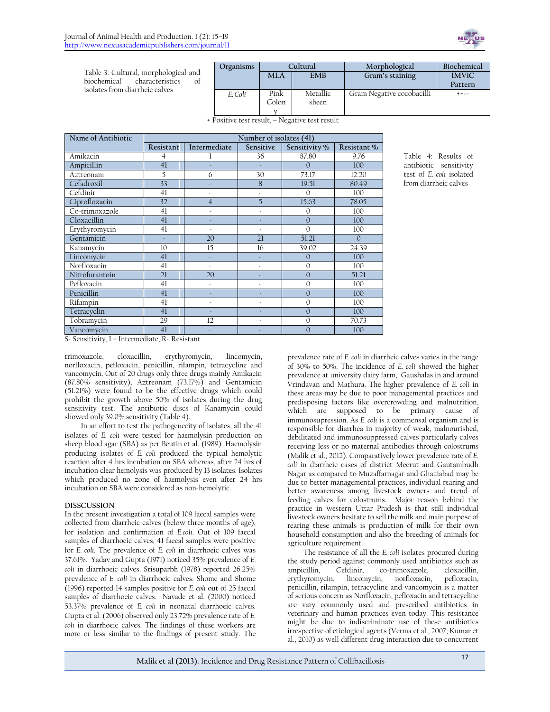

Table 3: Cultural, morphological and biochemical characteristics of isolates from diarrheic calves

| Organisms | Cultural |            | Morphological             | Biochemical  |  |
|-----------|----------|------------|---------------------------|--------------|--|
|           | MLA      | <b>EMB</b> | Gram's staining           | <b>IMViC</b> |  |
|           |          |            |                           | Pattern      |  |
| E. Coli   | Pink     | Metallic   | Gram Negative cocobacilli | $+ + - -$    |  |
|           | Colon    | sheen      |                           |              |  |
|           |          |            |                           |              |  |
|           |          |            |                           |              |  |

+ Positive test result, – Negative test result

| Name of Antibiotic |                | Number of isolates (41) |                          |               |             |  |
|--------------------|----------------|-------------------------|--------------------------|---------------|-------------|--|
|                    | Resistant      | Intermediate            | Sensitive                | Sensitivity % | Resistant % |  |
| Amikacin           | $\overline{4}$ | 1                       | 36                       | 87.80         | 9.76        |  |
| Ampicillin         | 41             |                         | ×                        | $\Omega$      | 100         |  |
| Aztreonam          | 5              | 6                       | 30                       | 73.17         | 12.20       |  |
| Cefadroxil         | 33             |                         | 8                        | 19.51         | 80.49       |  |
| Cefdinir           | 41             | ×                       | $\overline{\phantom{a}}$ | $\Omega$      | 100         |  |
| Ciprofloxacin      | 32             | $\overline{4}$          | 5                        | 15.63         | 78.05       |  |
| Co-trimoxazole     | 41             | ×                       | ×                        | $\mathbf{0}$  | 100         |  |
| Cloxacillin        | 41             |                         | ×                        | $\Omega$      | 100         |  |
| Erythyromycin      | 41             | ×                       | ×                        | $\mathbf{0}$  | 100         |  |
| Gentamicin         | ×,             | 20                      | 21                       | 51.21         | $\Omega$    |  |
| Kanamycin          | 10             | 15                      | 16                       | 39.02         | 24.39       |  |
| Lincomycin         | 41             | ×                       | ×                        | $\mathbf{0}$  | 100         |  |
| Norfloxacin        | 41             | ×                       | ×                        | $\mathbf{0}$  | 100         |  |
| Nitrofurantoin     | 21             | 20                      | ×                        | $\mathbf{0}$  | 51.21       |  |
| Pefloxacin         | 41             | k,                      | ×                        | $\Omega$      | 100         |  |
| Penicillin         | 41             | ×                       | ×                        | $\mathbf{0}$  | 100         |  |
| Rifampin           | 41             | ×                       | ×                        | $\mathbf{0}$  | 100         |  |
| Tetracyclin        | 41             | ×                       | ×                        | $\Omega$      | 100         |  |
| Tobramycin         | 29             | 12                      | ×                        | $\mathbf{0}$  | 70.73       |  |
| Vancomycin         | 41             |                         | ×                        | $\mathbf{0}$  | 100         |  |

Table 4: Results of antibiotic sensitivity test of *E. coli* isolated from diarrheic calves

S- Sensitivity, I – Intermediate, R- Resistant

trimoxazole, cloxacillin, erythyromycin, lincomycin, norfloxacin, pefloxacin, penicillin, rifampin, tetracycline and vancomycin. Out of 20 drugs only three drugs mainly Amikacin (87.80% sensitivity), Aztreonam (73.17%) and Gentamicin (51.21%) were found to be the effective drugs which could prohibit the growth above 50% of isolates during the drug sensitivity test. The antibiotic discs of Kanamycin could showed only 39.0% sensitivity (Table 4).

In an effort to test the pathogenecity of isolates, all the 41 isolates of *E. coli* were tested for haemolysin production on sheep blood agar (SBA) as per Beutin et al. (1989). Haemolysin producing isolates of *E. coli* produced the typical hemolytic reaction after 4 hrs incubation on SBA whereas, after 24 hrs of incubation clear hemolysis was produced by 13 isolates. Isolates which produced no zone of haemolysis even after 24 hrs incubation on SBA were considered as non-hemolytic.

# **DISSCUSSION**

In the present investigation a total of 109 faecal samples were collected from diarrheic calves (below three months of age), for isolation and confirmation of *E.coli*. Out of 109 faecal samples of diarrhoeic calves, 41 faecal samples were positive for *E. coli*. The prevalence of *E. coli* in diarrhoeic calves was 37.61%. Yadav and Gupta (1971) noticed 35% prevalence of *E. coli* in diarrhoeic calves. Srisuparbh (1978) reported 26.25% prevalence of *E. coli* in diarrhoeic calves. Shome and Shome (1996) reported 14 samples positive for *E. coli* out of 25 faecal samples of diarrhoeic calves. Navade et al. (2000) noticed 53.37% prevalence of *E. coli* in neonatal diarrhoeic calves. Gupta et al. (2006) observed only 23.72% prevalence rate of *E. coli* in diarrhoeic calves. The findings of these workers are more or less similar to the findings of present study. The

prevalence rate of *E. coli* in diarrheic calves varies in the range of 30% to 50%. The incidence of *E. coli* showed the higher prevalence at university dairy farm, Gaushalas in and around Vrindavan and Mathura. The higher prevalence of *E. coli* in these areas may be due to poor managemental practices and predisposing factors like overcrowding and malnutrition, which are supposed to be primary cause of immunosupression. As *E. coli* is a commensal organism and is responsible for diarrhea in majority of weak, malnourished, debilitated and immunosuppressed calves particularly calves receiving less or no maternal antibodies through colostrums (Malik et al., 2012). Comparatively lower prevalence rate of *E. coli* in diarrheic cases of district Meerut and Gautambudh Nagar as compared to Muzaffarnagar and Ghaziabad may be due to better managemental practices, individual rearing and better awareness among livestock owners and trend of feeding calves for colostrums. Major reason behind the practice in western Uttar Pradesh is that still individual livestock owners hesitate to sell the milk and main purpose of rearing these animals is production of milk for their own household consumption and also the breeding of animals for agriculture requirement.

The resistance of all the *E. coli* isolates procured during the study period against commonly used antibiotics such as ampicillin, Cefdinir, co-trimoxazole, cloxacillin, erythyromycin, lincomycin, norfloxacin, pefloxacin, penicillin, rifampin, tetracycline and vancomycin is a matter of serious concern as Norfloxacin, pefloxacin and tetracycline are vary commonly used and prescribed antibiotics in veterinary and human practices even today. This resistance might be due to indiscriminate use of these antibiotics irrespective of etiological agents (Verma et al., 2007; Kumar et al., 2010) as well different drug interaction due to concurrent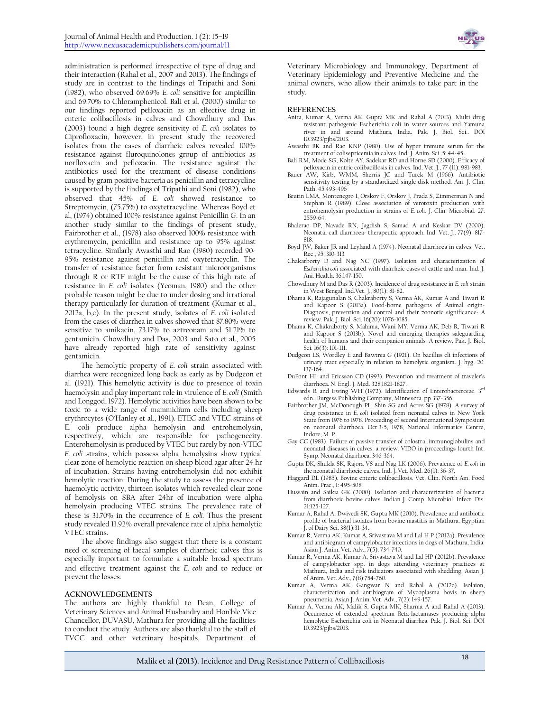administration is performed irrespective of type of drug and their interaction (Rahal et al., 2007 and 2013). The findings of study are in contrast to the findings of Tripathi and Soni (1982), who observed 69.69% *E. coli* sensitive for ampicillin and 69.70% to Chloramphenicol. Bali et al, (2000) similar to our findings reported pefloxacin as an effective drug in enteric colibacillosis in calves and Chowdhury and Das (2003) found a high degree sensitivity of *E. coli* isolates to Ciprofloxacin, however, in present study the recovered isolates from the cases of diarrheic calves revealed 100% resistance against fluroquinolones group of antibiotics as norfloxacin and pefloxacin. The resistance against the antibiotics used for the treatment of disease conditions caused by gram positive bacteria as penicillin and tetracycline is supported by the findings of Tripathi and Soni (1982), who observed that 45% of *E. coli* showed resistance to Streptomycin, (75.75%) to oxytetracycline. Whereas Boyd et al, (1974) obtained 100% resistance against Penicillin G. In an another study similar to the findings of present study, Fairbrother et al., (1978) also observed 100% resistance with erythromycin, penicillin and resistance up to 95% against tetracycline. Similarly Awasthi and Rao (1980) recorded 90- 95% resistance against penicillin and oxytetracyclin. The transfer of resistance factor from resistant microorganisms through R or RTF might be the cause of this high rate of resistance in *E. coli* isolates (Yeoman, 1980) and the other probable reason might be due to under dosing and irrational therapy particularly for duration of treatment (Kumar et al., 2012a, b,c). In the present study, isolates of *E. coli* isolated from the cases of diarrhea in calves showed that 87.80% were sensitive to amikacin, 73.17% to aztreonam and 51.21% to gentamicin. Chowdhary and Das, 2003 and Sato et al., 2005 have already reported high rate of sensitivity against gentamicin.

The hemolytic property of *E. coli* strain associated with diarrhea were recognized long back as early as by Dudgeon et al. (1921). This hemolytic activity is due to presence of toxin haemolysin and play important role in virulence of *E. coli* (Smith and Longgod, 1972). Hemolytic activities have been shown to be toxic to a wide range of mammidium cells including sheep erythrocytes (O'Hanley et al., 1991). ETEC and VTEC strains of E. coli produce alpha hemolysin and entrohemolysin, respectively, which are responsible for pathogenecity. Enterohemolysin is produced by VTEC but rarely by non-VTEC *E. coli* strains, which possess alpha hemolysins show typical clear zone of hemolytic reaction on sheep blood agar after 24 hr of incubation. Strains having entrohemolysin did not exhibit hemolytic reaction. During the study to assess the presence of haemolytic activity, thirteen isolates which revealed clear zone of hemolysis on SBA after 24hr of incubation were alpha hemolysin producing VTEC strains. The prevalence rate of these is 31.70% in the occurrence of *E. coli.* Thus the present study revealed 11.92% overall prevalence rate of alpha hemolytic VTEC strains.

The above findings also suggest that there is a constant need of screening of faecal samples of diarrheic calves this is especially important to formulate a suitable broad spectrum and effective treatment against the *E. coli* and to reduce or prevent the losses.

#### **ACKNOWLEDGEMENTS**

The authors are highly thankful to Dean, College of Veterinary Sciences and Animal Husbandry and Hon'ble Vice Chancellor, DUVASU, Mathura for providing all the facilities to conduct the study. Authors are also thankful to the staff of TVCC and other veterinary hospitals, Department of



Veterinary Microbiology and Immunology, Department of Veterinary Epidemiology and Preventive Medicine and the animal owners, who allow their animals to take part in the study.

#### **REFERENCES**

- Anita, Kumar A, Verma AK, Gupta MK and Rahal A (2013). Multi drug resistant pathogenic Escherichia coli in water sources and Yamuna river in and around Mathura, India. Pak. J. Biol. Sci.. DOI 10.3923/pjbs/2013.
- Awasthi BK and Rao KNP (1980). Use of hyper immune serum for the treatment of colisepticemia in calves. Ind. J. Anim. Sci. 5: 44-45.
- Bali RM, Mode SG, Kolte AY, Sadekar RD and Horne SD (2000). Efficacy of pefloxacin in entric colibacillosis in calves. Ind. Vet. J., 77 (11): 981-983.
- Bauer AW, Kirb, WMM, Sherris JC and Turck M (1966). Antibiotic sensitivity testing by a standardized single disk method. Am. J. Clin. Path. 45:493-496
- Beutin LMA, Montenegro I, Orskov F, Orskov J, Prada S, Zimmerman N and Stephan R (1989). Close association of verotoxin production with entrohemolysin production in strains of *E. coli*. J. Clin. Microbial. 27: 2559-64.
- Bhalerao DP, Navade RN, Jagdish S, Samad A and Keskar DV (2000). Neonatal calf diarrhoea- therapeutic approach. Ind. Vet. J., 77(9): 817-818.
- Boyd JW, Baker JR and Leyland A (1974). Neonatal diarrhoea in calves. Vet. Rec., 95: 310-313.
- Chakarborty D and Nag NC (1997). Isolation and characterization of *Escherichia coli* associated with diarrheic cases of cattle and man. Ind. J. Ani. Health. 36:147-150.
- Chowdhury M and Das R (2003). Incidence of drug resistance in *E. coli* strain in West Bengal. Ind.Vet. J., 80(1): 81-82.
- Dhama K, Rajagunalan S, Chakraborty S, Verma AK, Kumar A and Tiwari R and Kapoor S (2013a). Food-borne pathogens of Animal origin-Diagnosis, prevention and control and their zoonotic significance- A review. Pak. J. Biol. Sci. 16(20): 1076-1085.
- Dhama K, Chakraborty S, Mahima, Wani MY, Verma AK, Deb R, Tiwari R and Kapoor S (2013b). Novel and emerging therapies safeguarding health of humans and their companion animals: A review. Pak. J. Biol. Sci. 16(3): 101-111.
- Dudgeon LS, Wordley E and Bawtrea G (1921). On bacillus cli infections of urinary tract especially in relation to hemolytic organism. J. hyg. 20: 137-164.
- DuPont HL and Ericsson CD (1993). Prevention and treatment of traveler's diarrhoea. N. Engl. J. Med. 328:1821-1827.
- Edwards R and Ewing WH (1972). Identification of Enterobacterceae. 3rd edn., Burgess Publishing Company, Minnesota. pp 337-356.
- Fairbrother JM, McDonough PL, Shin SG and Acres SG (1978). A survey of drug resistance in *E. coli* isolated from neonatal calves in New York State from 1976 to 1978. Proceeding of second International Symposium on neonatal diarrhoea. Oct.3-5, 1978, National Informatics Centre, Indore, M. P.
- Gay CC (1983). Failure of passive transfer of colostral immunoglobulins and neonatal diseases in calves: a review. VIDO in proceedings fourth Int. Symp. Neonatal diarrhoea, 346-364.
- Gupta DK, Shukla SK, Rajora VS and Nag LK (2006). Prevalence of *E. coli* in the neonatal diarrhoeic calves. Ind. J. Vet. Med. 26(1): 36-37.
- Haggard DL (1985). Bovine enteric colibacillosis. Vet. Clin. North Am. Food Anim. Prac., 1: 495-508.
- Hussain and Saikia GK (2000). Isolation and characterization of bacteria from diarrhoeic bovine calves. Indian J. Comp. Microbiol. Infect. Dis. 21:125-127.
- Kumar A, Rahal A, Dwivedi SK, Gupta MK (2010). Prevalence and antibiotic profile of bacterial isolates from bovine mastitis in Mathura. Egyptian J. of Dairy Sci. 38(1):31-34.
- Kumar R, Verma AK, Kumar A, Srivastava M and Lal H P (2012a). Prevalence and antibiogram of campylobacter infections in dogs of Mathura, India. Asian J. Anim. Vet. Adv., 7(5): 734-740.
- Kumar R, Verma AK, Kumar A, Srivastava M and Lal HP (2012b). Prevalence of campylobacter spp. in dogs attending veterinary practices at Mathura, India and risk indicators associated with shedding. Asian J. of Anim. Vet. Adv., 7(8):754-760.
- Kumar A, Verma AK, Gangwar N and Rahal A (2012c). Isolaion, characterization and antibiogram of Mycoplasma bovis in sheep pneumonia. Asian J. Anim. Vet. Adv., 7(2): 149-157.
- Kumar A, Verma AK, Malik S, Gupta MK, Sharma A and Rahal A (2013). Occurrence of extended spectrum Beta-lactamases producing alpha hemolytic Escherichia coli in Neonatal diarrhea. Pak. J. Biol. Sci. DOI 10.3923/pjbs/2013.

**Malik et al (2013).** Incidence and Drug Resistance Pattern of Collibacillosis <sup>18</sup>